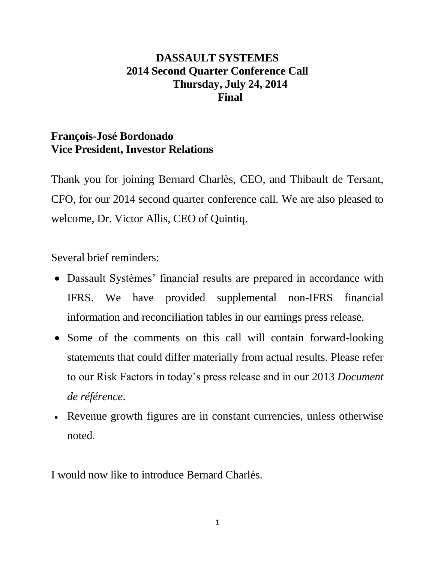# **DASSAULT SYSTEMES 2014 Second Quarter Conference Call Thursday, July 24, 2014 Final**

## **François-José Bordonado Vice President, Investor Relations**

Thank you for joining Bernard Charlès, CEO, and Thibault de Tersant, CFO, for our 2014 second quarter conference call. We are also pleased to welcome, Dr. Victor Allis, CEO of Quintiq.

Several brief reminders:

- Dassault Systèmes' financial results are prepared in accordance with IFRS. We have provided supplemental non-IFRS financial information and reconciliation tables in our earnings press release.
- Some of the comments on this call will contain forward-looking statements that could differ materially from actual results. Please refer to our Risk Factors in today's press release and in our 2013 *Document de référence*.
- Revenue growth figures are in constant currencies, unless otherwise noted.

I would now like to introduce Bernard Charlès.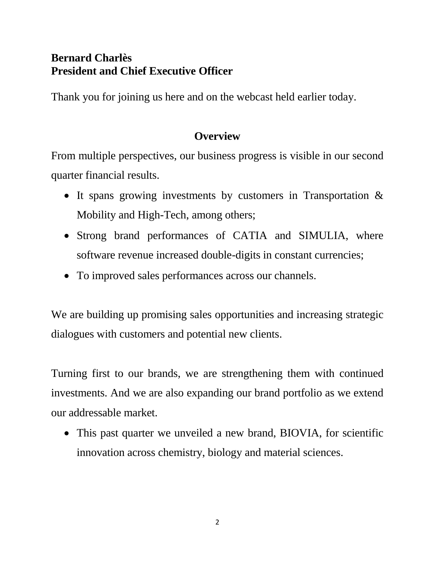# **Bernard Charlès President and Chief Executive Officer**

Thank you for joining us here and on the webcast held earlier today.

# **Overview**

From multiple perspectives, our business progress is visible in our second quarter financial results.

- It spans growing investments by customers in Transportation  $\&$ Mobility and High-Tech, among others;
- Strong brand performances of CATIA and SIMULIA, where software revenue increased double-digits in constant currencies;
- To improved sales performances across our channels.

We are building up promising sales opportunities and increasing strategic dialogues with customers and potential new clients.

Turning first to our brands, we are strengthening them with continued investments. And we are also expanding our brand portfolio as we extend our addressable market.

 This past quarter we unveiled a new brand, BIOVIA, for scientific innovation across chemistry, biology and material sciences.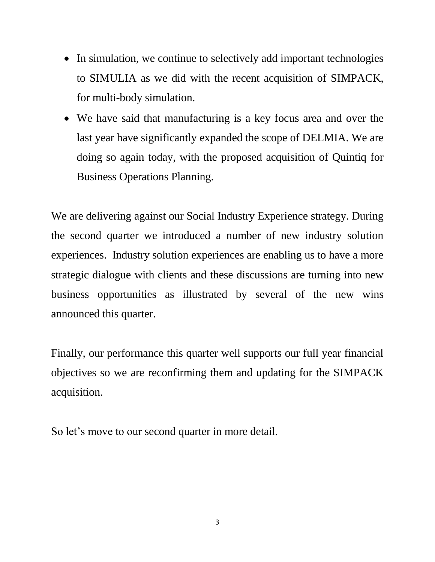- In simulation, we continue to selectively add important technologies to SIMULIA as we did with the recent acquisition of SIMPACK, for multi-body simulation.
- We have said that manufacturing is a key focus area and over the last year have significantly expanded the scope of DELMIA. We are doing so again today, with the proposed acquisition of Quintiq for Business Operations Planning.

We are delivering against our Social Industry Experience strategy. During the second quarter we introduced a number of new industry solution experiences. Industry solution experiences are enabling us to have a more strategic dialogue with clients and these discussions are turning into new business opportunities as illustrated by several of the new wins announced this quarter.

Finally, our performance this quarter well supports our full year financial objectives so we are reconfirming them and updating for the SIMPACK acquisition.

So let's move to our second quarter in more detail.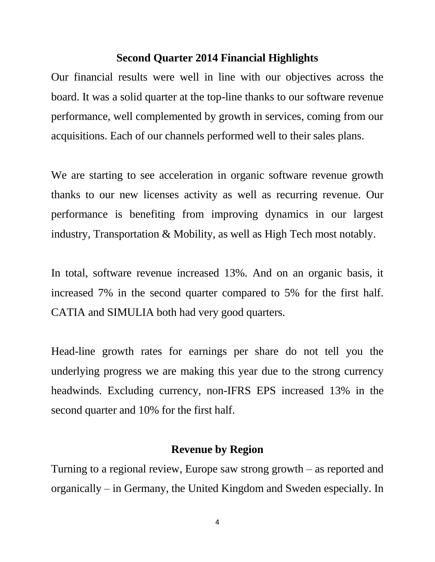#### **Second Quarter 2014 Financial Highlights**

Our financial results were well in line with our objectives across the board. It was a solid quarter at the top-line thanks to our software revenue performance, well complemented by growth in services, coming from our acquisitions. Each of our channels performed well to their sales plans.

We are starting to see acceleration in organic software revenue growth thanks to our new licenses activity as well as recurring revenue. Our performance is benefiting from improving dynamics in our largest industry, Transportation & Mobility, as well as High Tech most notably.

In total, software revenue increased 13%. And on an organic basis, it increased 7% in the second quarter compared to 5% for the first half. CATIA and SIMULIA both had very good quarters.

Head-line growth rates for earnings per share do not tell you the underlying progress we are making this year due to the strong currency headwinds. Excluding currency, non-IFRS EPS increased 13% in the second quarter and 10% for the first half.

#### **Revenue by Region**

Turning to a regional review, Europe saw strong growth – as reported and organically – in Germany, the United Kingdom and Sweden especially. In

4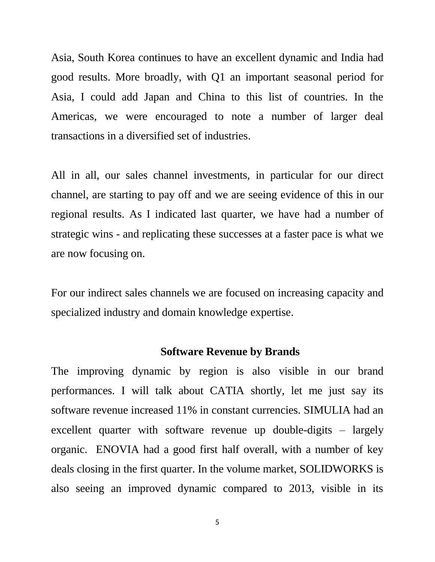Asia, South Korea continues to have an excellent dynamic and India had good results. More broadly, with Q1 an important seasonal period for Asia, I could add Japan and China to this list of countries. In the Americas, we were encouraged to note a number of larger deal transactions in a diversified set of industries.

All in all, our sales channel investments, in particular for our direct channel, are starting to pay off and we are seeing evidence of this in our regional results. As I indicated last quarter, we have had a number of strategic wins - and replicating these successes at a faster pace is what we are now focusing on.

For our indirect sales channels we are focused on increasing capacity and specialized industry and domain knowledge expertise.

#### **Software Revenue by Brands**

The improving dynamic by region is also visible in our brand performances. I will talk about CATIA shortly, let me just say its software revenue increased 11% in constant currencies. SIMULIA had an excellent quarter with software revenue up double-digits – largely organic. ENOVIA had a good first half overall, with a number of key deals closing in the first quarter. In the volume market, SOLIDWORKS is also seeing an improved dynamic compared to 2013, visible in its

5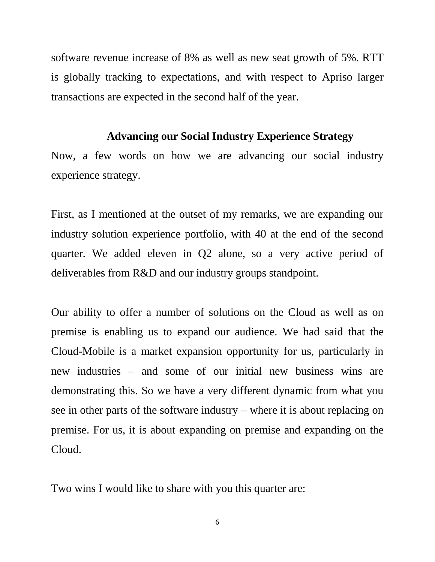software revenue increase of 8% as well as new seat growth of 5%. RTT is globally tracking to expectations, and with respect to Apriso larger transactions are expected in the second half of the year.

#### **Advancing our Social Industry Experience Strategy**

Now, a few words on how we are advancing our social industry experience strategy.

First, as I mentioned at the outset of my remarks, we are expanding our industry solution experience portfolio, with 40 at the end of the second quarter. We added eleven in Q2 alone, so a very active period of deliverables from R&D and our industry groups standpoint.

Our ability to offer a number of solutions on the Cloud as well as on premise is enabling us to expand our audience. We had said that the Cloud-Mobile is a market expansion opportunity for us, particularly in new industries – and some of our initial new business wins are demonstrating this. So we have a very different dynamic from what you see in other parts of the software industry – where it is about replacing on premise. For us, it is about expanding on premise and expanding on the Cloud.

Two wins I would like to share with you this quarter are: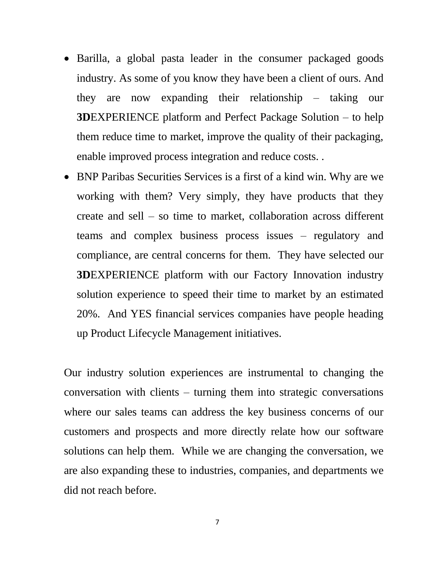- Barilla, a global pasta leader in the consumer packaged goods industry. As some of you know they have been a client of ours. And they are now expanding their relationship – taking our **3D**EXPERIENCE platform and Perfect Package Solution – to help them reduce time to market, improve the quality of their packaging, enable improved process integration and reduce costs. .
- BNP Paribas Securities Services is a first of a kind win. Why are we working with them? Very simply, they have products that they create and sell – so time to market, collaboration across different teams and complex business process issues – regulatory and compliance, are central concerns for them. They have selected our **3D**EXPERIENCE platform with our Factory Innovation industry solution experience to speed their time to market by an estimated 20%. And YES financial services companies have people heading up Product Lifecycle Management initiatives.

Our industry solution experiences are instrumental to changing the conversation with clients – turning them into strategic conversations where our sales teams can address the key business concerns of our customers and prospects and more directly relate how our software solutions can help them. While we are changing the conversation, we are also expanding these to industries, companies, and departments we did not reach before.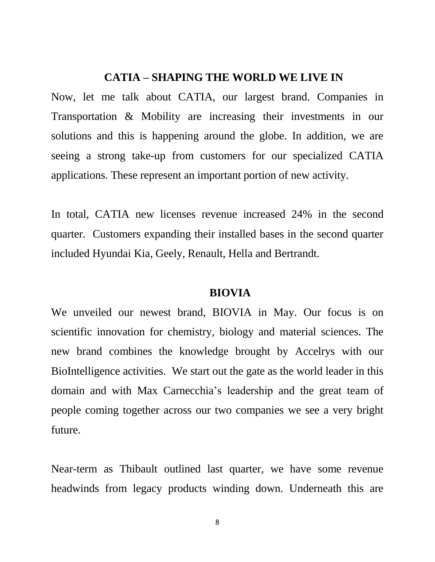#### **CATIA – SHAPING THE WORLD WE LIVE IN**

Now, let me talk about CATIA, our largest brand. Companies in Transportation & Mobility are increasing their investments in our solutions and this is happening around the globe. In addition, we are seeing a strong take-up from customers for our specialized CATIA applications. These represent an important portion of new activity.

In total, CATIA new licenses revenue increased 24% in the second quarter. Customers expanding their installed bases in the second quarter included Hyundai Kia, Geely, Renault, Hella and Bertrandt.

#### **BIOVIA**

We unveiled our newest brand, BIOVIA in May. Our focus is on scientific innovation for chemistry, biology and material sciences. The new brand combines the knowledge brought by Accelrys with our BioIntelligence activities. We start out the gate as the world leader in this domain and with Max Carnecchia's leadership and the great team of people coming together across our two companies we see a very bright future.

Near-term as Thibault outlined last quarter, we have some revenue headwinds from legacy products winding down. Underneath this are

8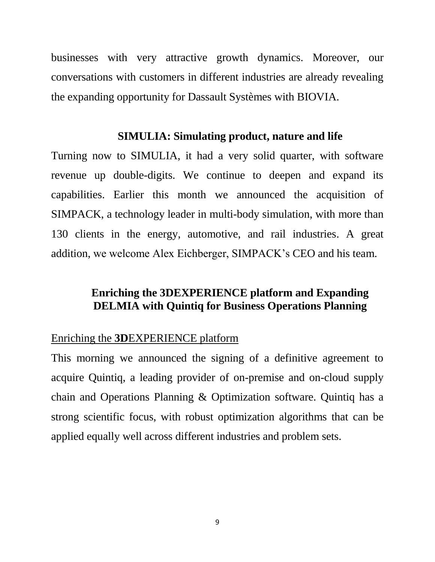businesses with very attractive growth dynamics. Moreover, our conversations with customers in different industries are already revealing the expanding opportunity for Dassault Systèmes with BIOVIA.

#### **SIMULIA: Simulating product, nature and life**

Turning now to SIMULIA, it had a very solid quarter, with software revenue up double-digits. We continue to deepen and expand its capabilities. Earlier this month we announced the acquisition of SIMPACK, a technology leader in multi-body simulation, with more than 130 clients in the energy, automotive, and rail industries. A great addition, we welcome Alex Eichberger, SIMPACK's CEO and his team.

#### **Enriching the 3DEXPERIENCE platform and Expanding DELMIA with Quintiq for Business Operations Planning**

#### Enriching the **3D**EXPERIENCE platform

This morning we announced the signing of a definitive agreement to acquire Quintiq, a leading provider of on-premise and on-cloud supply chain and Operations Planning & Optimization software. Quintiq has a strong scientific focus, with robust optimization algorithms that can be applied equally well across different industries and problem sets.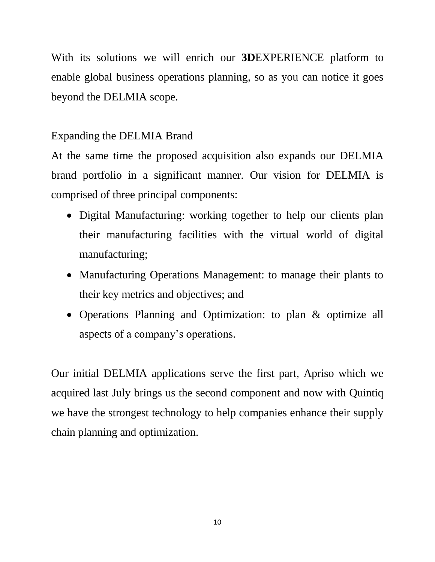With its solutions we will enrich our **3D**EXPERIENCE platform to enable global business operations planning, so as you can notice it goes beyond the DELMIA scope.

## Expanding the DELMIA Brand

At the same time the proposed acquisition also expands our DELMIA brand portfolio in a significant manner. Our vision for DELMIA is comprised of three principal components:

- Digital Manufacturing: working together to help our clients plan their manufacturing facilities with the virtual world of digital manufacturing;
- Manufacturing Operations Management: to manage their plants to their key metrics and objectives; and
- Operations Planning and Optimization: to plan & optimize all aspects of a company's operations.

Our initial DELMIA applications serve the first part, Apriso which we acquired last July brings us the second component and now with Quintiq we have the strongest technology to help companies enhance their supply chain planning and optimization.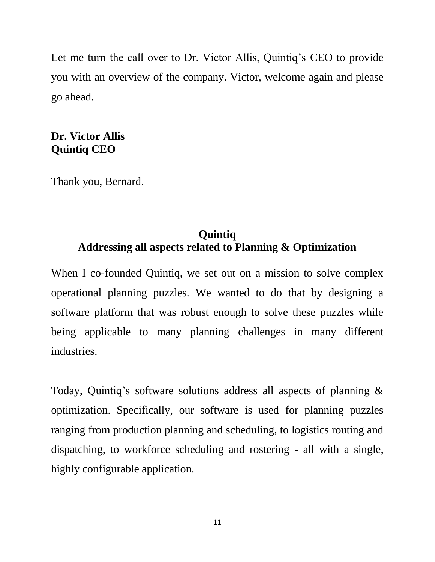Let me turn the call over to Dr. Victor Allis, Quintiq's CEO to provide you with an overview of the company. Victor, welcome again and please go ahead.

## **Dr. Victor Allis Quintiq CEO**

Thank you, Bernard.

# **Quintiq Addressing all aspects related to Planning & Optimization**

When I co-founded Quintiq, we set out on a mission to solve complex operational planning puzzles. We wanted to do that by designing a software platform that was robust enough to solve these puzzles while being applicable to many planning challenges in many different industries.

Today, Quintiq's software solutions address all aspects of planning & optimization. Specifically, our software is used for planning puzzles ranging from production planning and scheduling, to logistics routing and dispatching, to workforce scheduling and rostering - all with a single, highly configurable application.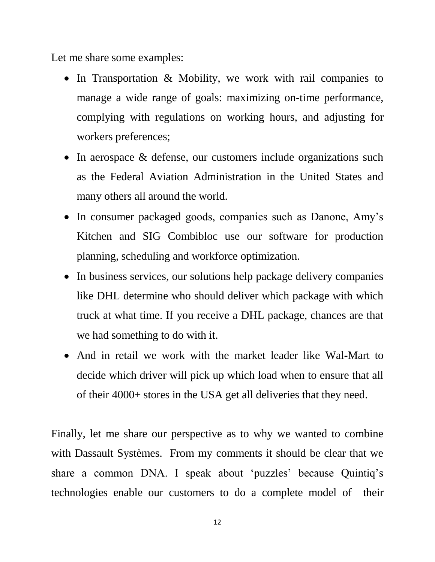Let me share some examples:

- In Transportation & Mobility, we work with rail companies to manage a wide range of goals: maximizing on-time performance, complying with regulations on working hours, and adjusting for workers preferences;
- In aerospace & defense, our customers include organizations such as the Federal Aviation Administration in the United States and many others all around the world.
- In consumer packaged goods, companies such as Danone, Amy's Kitchen and SIG Combibloc use our software for production planning, scheduling and workforce optimization.
- In business services, our solutions help package delivery companies like DHL determine who should deliver which package with which truck at what time. If you receive a DHL package, chances are that we had something to do with it.
- And in retail we work with the market leader like Wal-Mart to decide which driver will pick up which load when to ensure that all of their 4000+ stores in the USA get all deliveries that they need.

Finally, let me share our perspective as to why we wanted to combine with Dassault Systèmes. From my comments it should be clear that we share a common DNA. I speak about 'puzzles' because Quintiq's technologies enable our customers to do a complete model of their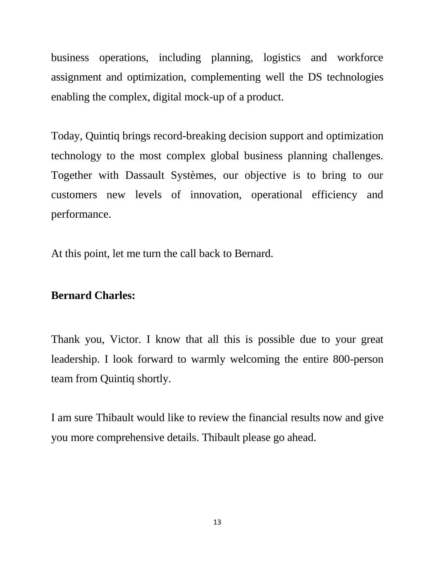business operations, including planning, logistics and workforce assignment and optimization, complementing well the DS technologies enabling the complex, digital mock-up of a product.

Today, Quintiq brings record-breaking decision support and optimization technology to the most complex global business planning challenges. Together with Dassault Systèmes, our objective is to bring to our customers new levels of innovation, operational efficiency and performance.

At this point, let me turn the call back to Bernard.

#### **Bernard Charles:**

Thank you, Victor. I know that all this is possible due to your great leadership. I look forward to warmly welcoming the entire 800-person team from Quintiq shortly.

I am sure Thibault would like to review the financial results now and give you more comprehensive details. Thibault please go ahead.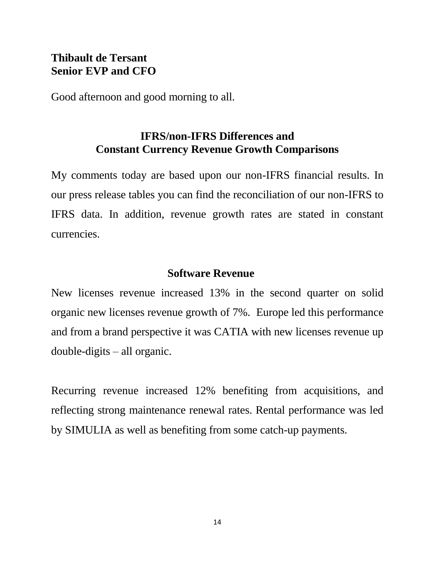## **Thibault de Tersant Senior EVP and CFO**

Good afternoon and good morning to all.

# **IFRS/non-IFRS Differences and Constant Currency Revenue Growth Comparisons**

My comments today are based upon our non-IFRS financial results. In our press release tables you can find the reconciliation of our non-IFRS to IFRS data. In addition, revenue growth rates are stated in constant currencies.

## **Software Revenue**

New licenses revenue increased 13% in the second quarter on solid organic new licenses revenue growth of 7%. Europe led this performance and from a brand perspective it was CATIA with new licenses revenue up double-digits – all organic.

Recurring revenue increased 12% benefiting from acquisitions, and reflecting strong maintenance renewal rates. Rental performance was led by SIMULIA as well as benefiting from some catch-up payments.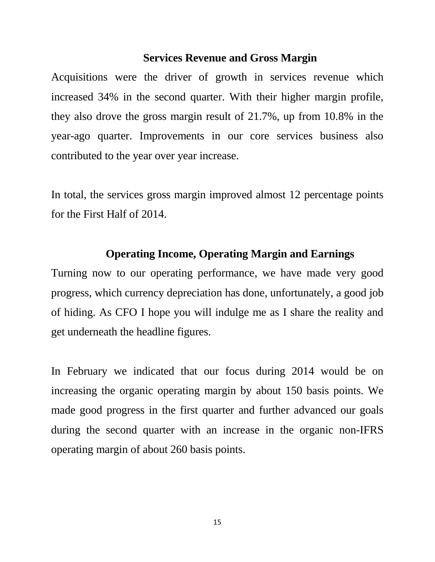#### **Services Revenue and Gross Margin**

Acquisitions were the driver of growth in services revenue which increased 34% in the second quarter. With their higher margin profile, they also drove the gross margin result of 21.7%, up from 10.8% in the year-ago quarter. Improvements in our core services business also contributed to the year over year increase.

In total, the services gross margin improved almost 12 percentage points for the First Half of 2014.

#### **Operating Income, Operating Margin and Earnings**

Turning now to our operating performance, we have made very good progress, which currency depreciation has done, unfortunately, a good job of hiding. As CFO I hope you will indulge me as I share the reality and get underneath the headline figures.

In February we indicated that our focus during 2014 would be on increasing the organic operating margin by about 150 basis points. We made good progress in the first quarter and further advanced our goals during the second quarter with an increase in the organic non-IFRS operating margin of about 260 basis points.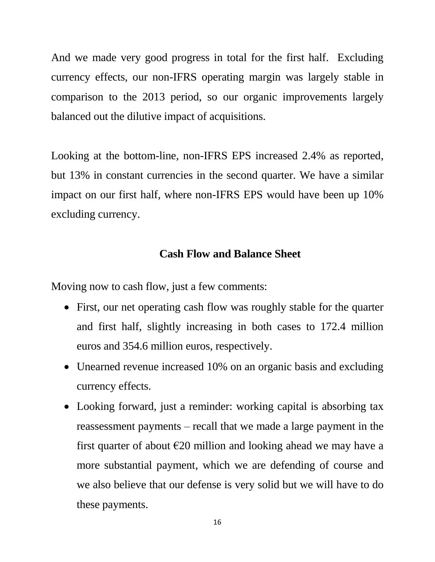And we made very good progress in total for the first half. Excluding currency effects, our non-IFRS operating margin was largely stable in comparison to the 2013 period, so our organic improvements largely balanced out the dilutive impact of acquisitions.

Looking at the bottom-line, non-IFRS EPS increased 2.4% as reported, but 13% in constant currencies in the second quarter. We have a similar impact on our first half, where non-IFRS EPS would have been up 10% excluding currency.

## **Cash Flow and Balance Sheet**

Moving now to cash flow, just a few comments:

- First, our net operating cash flow was roughly stable for the quarter and first half, slightly increasing in both cases to 172.4 million euros and 354.6 million euros, respectively.
- Unearned revenue increased 10% on an organic basis and excluding currency effects.
- Looking forward, just a reminder: working capital is absorbing tax reassessment payments – recall that we made a large payment in the first quarter of about  $\epsilon$ 20 million and looking ahead we may have a more substantial payment, which we are defending of course and we also believe that our defense is very solid but we will have to do these payments.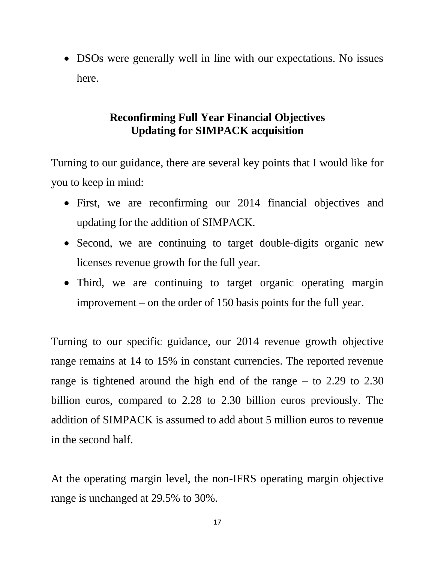• DSOs were generally well in line with our expectations. No issues here.

# **Reconfirming Full Year Financial Objectives Updating for SIMPACK acquisition**

Turning to our guidance, there are several key points that I would like for you to keep in mind:

- First, we are reconfirming our 2014 financial objectives and updating for the addition of SIMPACK.
- Second, we are continuing to target double-digits organic new licenses revenue growth for the full year.
- Third, we are continuing to target organic operating margin improvement – on the order of 150 basis points for the full year.

Turning to our specific guidance, our 2014 revenue growth objective range remains at 14 to 15% in constant currencies. The reported revenue range is tightened around the high end of the range – to 2.29 to 2.30 billion euros, compared to 2.28 to 2.30 billion euros previously. The addition of SIMPACK is assumed to add about 5 million euros to revenue in the second half.

At the operating margin level, the non-IFRS operating margin objective range is unchanged at 29.5% to 30%.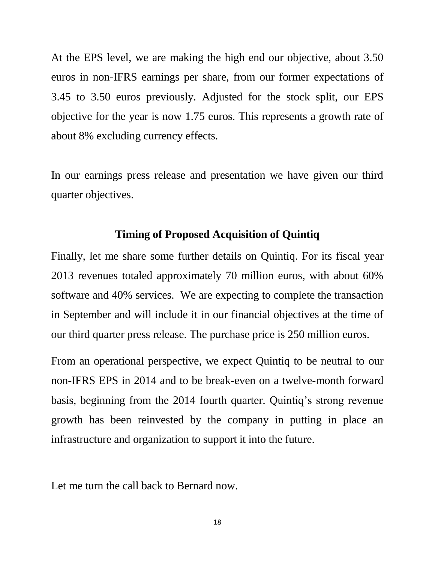At the EPS level, we are making the high end our objective, about 3.50 euros in non-IFRS earnings per share, from our former expectations of 3.45 to 3.50 euros previously. Adjusted for the stock split, our EPS objective for the year is now 1.75 euros. This represents a growth rate of about 8% excluding currency effects.

In our earnings press release and presentation we have given our third quarter objectives.

#### **Timing of Proposed Acquisition of Quintiq**

Finally, let me share some further details on Quintiq. For its fiscal year 2013 revenues totaled approximately 70 million euros, with about 60% software and 40% services. We are expecting to complete the transaction in September and will include it in our financial objectives at the time of our third quarter press release. The purchase price is 250 million euros.

From an operational perspective, we expect Quintiq to be neutral to our non-IFRS EPS in 2014 and to be break-even on a twelve-month forward basis, beginning from the 2014 fourth quarter. Quintiq's strong revenue growth has been reinvested by the company in putting in place an infrastructure and organization to support it into the future.

Let me turn the call back to Bernard now.